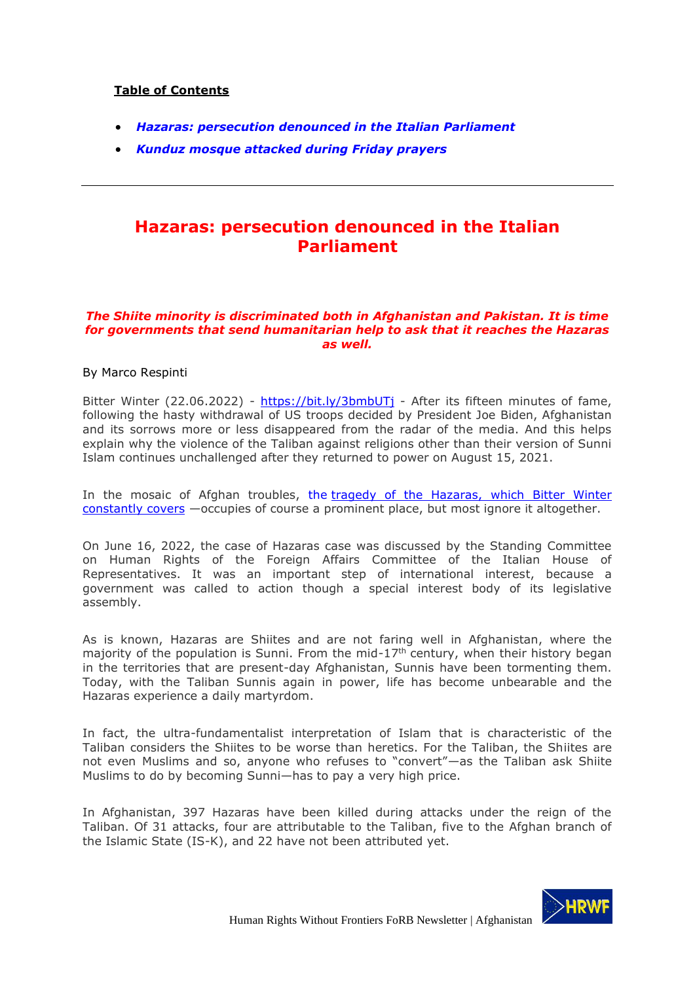### **Table of Contents**

- *Hazaras: persecution denounced in the Italian Parliament*
- *Kunduz mosque attacked during Friday prayers*

## **Hazaras: persecution denounced in the Italian Parliament**

#### *The Shiite minority is discriminated both in Afghanistan and Pakistan. It is time for governments that send humanitarian help to ask that it reaches the Hazaras as well.*

### By Marco Respinti

Bitter Winter (22.06.2022) - https://bit.ly/3bmbUTj - After its fifteen minutes of fame, following the hasty withdrawal of US troops decided by President Joe Biden, Afghanistan and its sorrows more or less disappeared from the radar of the media. And this helps explain why the violence of the Taliban against religions other than their version of Sunni Islam continues unchallenged after they returned to power on August 15, 2021.

In the mosaic of Afghan troubles, the tragedy of the Hazaras, which Bitter Winter constantly covers —occupies of course a prominent place, but most ignore it altogether.

On June 16, 2022, the case of Hazaras case was discussed by the Standing Committee on Human Rights of the Foreign Affairs Committee of the Italian House of Representatives. It was an important step of international interest, because a government was called to action though a special interest body of its legislative assembly.

As is known, Hazaras are Shiites and are not faring well in Afghanistan, where the majority of the population is Sunni. From the mid- $17<sup>th</sup>$  century, when their history began in the territories that are present-day Afghanistan, Sunnis have been tormenting them. Today, with the Taliban Sunnis again in power, life has become unbearable and the Hazaras experience a daily martyrdom.

In fact, the ultra-fundamentalist interpretation of Islam that is characteristic of the Taliban considers the Shiites to be worse than heretics. For the Taliban, the Shiites are not even Muslims and so, anyone who refuses to "convert"—as the Taliban ask Shiite Muslims to do by becoming Sunni—has to pay a very high price.

In Afghanistan, 397 Hazaras have been killed during attacks under the reign of the Taliban. Of 31 attacks, four are attributable to the Taliban, five to the Afghan branch of the Islamic State (IS-K), and 22 have not been attributed yet.

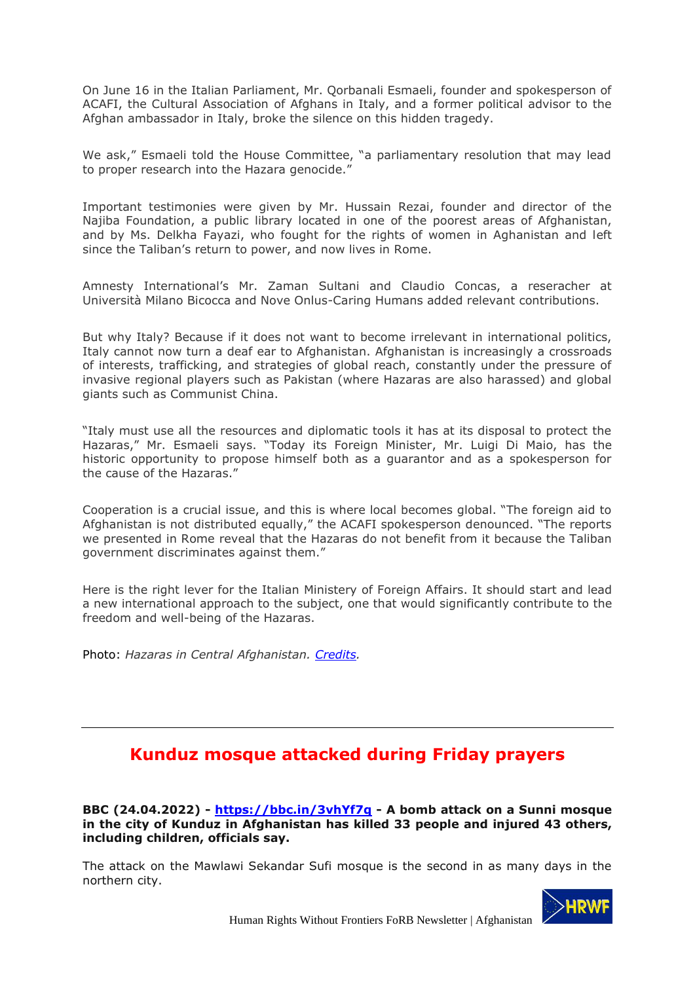On June 16 in the Italian Parliament, Mr. Qorbanali Esmaeli, founder and spokesperson of ACAFI, the Cultural Association of Afghans in Italy, and a former political advisor to the Afghan ambassador in Italy, broke the silence on this hidden tragedy.

We ask," Esmaeli told the House Committee, "a parliamentary resolution that may lead to proper research into the Hazara genocide."

Important testimonies were given by Mr. Hussain Rezai, founder and director of the Najiba Foundation, a public library located in one of the poorest areas of Afghanistan, and by Ms. Delkha Fayazi, who fought for the rights of women in Aghanistan and left since the Taliban's return to power, and now lives in Rome.

Amnesty International's Mr. Zaman Sultani and Claudio Concas, a reseracher at Università Milano Bicocca and Nove Onlus-Caring Humans added relevant contributions.

But why Italy? Because if it does not want to become irrelevant in international politics, Italy cannot now turn a deaf ear to Afghanistan. Afghanistan is increasingly a crossroads of interests, trafficking, and strategies of global reach, constantly under the pressure of invasive regional players such as Pakistan (where Hazaras are also harassed) and global giants such as Communist China.

"Italy must use all the resources and diplomatic tools it has at its disposal to protect the Hazaras," Mr. Esmaeli says. "Today its Foreign Minister, Mr. Luigi Di Maio, has the historic opportunity to propose himself both as a guarantor and as a spokesperson for the cause of the Hazaras."

Cooperation is a crucial issue, and this is where local becomes global. "The foreign aid to Afghanistan is not distributed equally," the ACAFI spokesperson denounced. "The reports we presented in Rome reveal that the Hazaras do not benefit from it because the Taliban government discriminates against them."

Here is the right lever for the Italian Ministery of Foreign Affairs. It should start and lead a new international approach to the subject, one that would significantly contribute to the freedom and well-being of the Hazaras.

Photo: *Hazaras in Central Afghanistan. Credits.*

# **Kunduz mosque attacked during Friday prayers**

**BBC (24.04.2022) - https://bbc.in/3vhYf7q - A bomb attack on a Sunni mosque in the city of Kunduz in Afghanistan has killed 33 people and injured 43 others, including children, officials say.**

The attack on the Mawlawi Sekandar Sufi mosque is the second in as many days in the northern city.